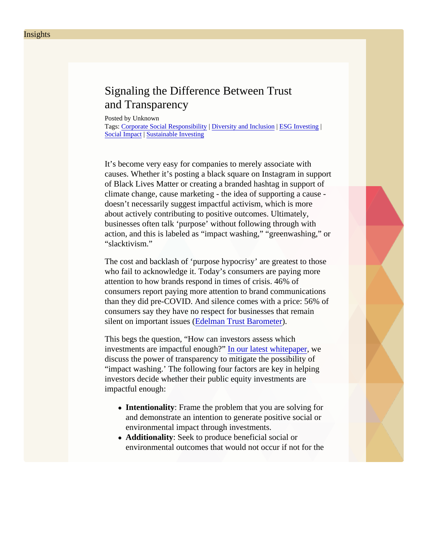## Signaling the Difference Between Trust and Transparency

Posted by Unknown Tags: [Corporate Social Responsibil](/Blog/uhrc&CategoryId=ukv8)it Diversit[y](/Blog/uhrc&CategoryId=ukv3) and Inclusion [ESG Investing](/Blog/uhrc&CategoryId=ukv2) [Social Impac](/Blog/uhrc&CategoryId=ukv7)tSustainable Investing

It's become very easy for companies to merely associate with causes. Whether it's posting a black square on Instagram in support of Black Lives Matter or creating a branded hashtag in support of climate change, cause marketing - the idea of supporting a cause doesn't necessarily suggest impactful activism, which is more about actively contributing to positive outcomes. Ultimately, businesses often talk 'purpose' without following through with action, and this is labeled as "impact washing," "greenwashing," or "slacktivism."

The cost and backlash of 'purpose hypocrisy' are greatest to those who fail to acknowledge it. Today's consumers are paying more attention to how brands respond in times of crisis. 46% of consumers report paying more attention to brand communications than they did pre-COVID. And silence comes with a price: 56% of consumers say they have no respect for businesses that remain silent on important issue  $\frac{E}{E}$  delman Trust Barometer

This begs the question, "How can investors assess which investments are impactful enough?" our latest whitepape we discuss the power of transparency to mitigate the possibility of "impact washing.' The following four factors are key in helping investors decide whether their public equity investments are impactful enough:

- Intentionality : Frame the problem that you are solving for and demonstrate an intention to generate positive social or environmental impact through investments.
- Additionality : Seek to produce beneficial social or environmental outcomes that would not occur if not for the